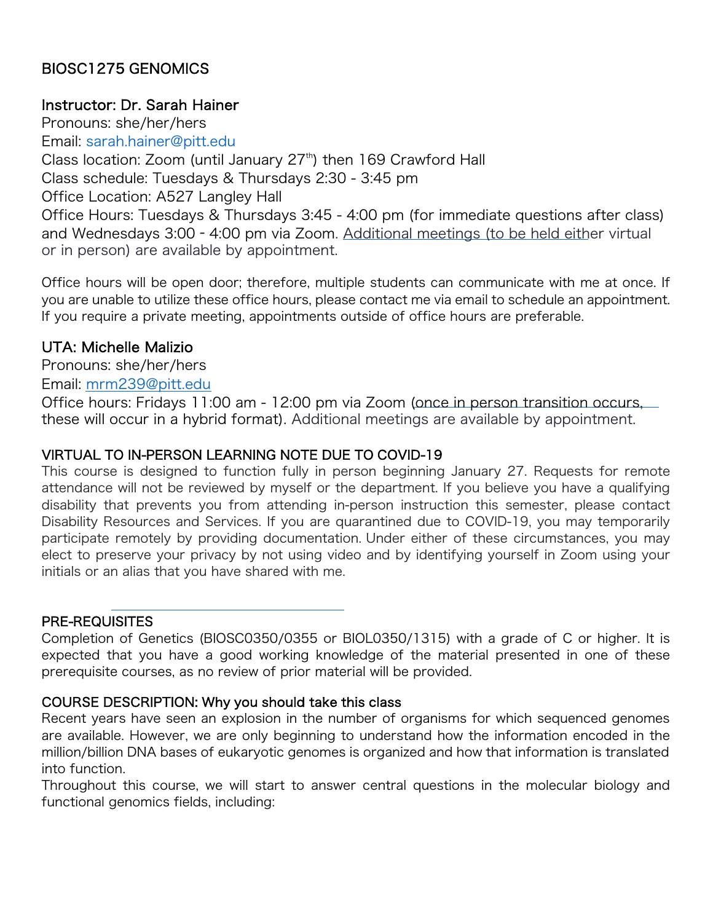# BIOSC1275 GENOMICS

### Instructor: Dr. Sarah Hainer

Pronouns: she/her/hers Email: sarah.hainer@pitt.edu Class location: Zoom (until January  $27<sup>th</sup>$ ) then 169 Crawford Hall Class schedule: Tuesdays & Thursdays 2:30 - 3:45 pm Office Location: A527 Langley Hall Office Hours: Tuesdays & Thursdays 3:45 - 4:00 pm (for immediate questions after class) and Wednesdays 3:00–4:00 pm via Zoom. Additional meetings (to be held either virtual or in person) are available by appointment.

Office hours will be open door; therefore, multiple students can communicate with me at once. If you are unable to utilize these office hours, please contact me via email to schedule an appointment. If you require a private meeting, appointments outside of office hours are preferable.

# UTA: Michelle Malizio

Pronouns: she/her/hers

Email: mrm239@pitt.edu

Office hours: Fridays 11:00 am - 12:00 pm via Zoom (once in person transition occurs, these will occur in a hybrid format). Additional meetings are available by appointment.

## VIRTUAL TO IN-PERSON LEARNING NOTE DUE TO COVID-19

This course is designed to function fully in person beginning January 27. Requests for remote attendance will not be reviewed by myself or the department. If you believe you have a qualifying disability that prevents you from attending in-person instruction this semester, please contact Disability Resources and Services. If you are quarantined due to COVID-19, you may temporarily participate remotely by providing documentation. Under either of these circumstances, you may elect to preserve your privacy by not using video and by identifying yourself in Zoom using your initials or an alias that you have shared with me.

## PRE-REQUISITES

Completion of Genetics (BIOSC0350/0355 or BIOL0350/1315) with a grade of C or higher. It is expected that you have a good working knowledge of the material presented in one of these prerequisite courses, as no review of prior material will be provided.

#### COURSE DESCRIPTION: Why you should take this class

Recent years have seen an explosion in the number of organisms for which sequenced genomes are available. However, we are only beginning to understand how the information encoded in the million/billion DNA bases of eukaryotic genomes is organized and how that information is translated into function.

Throughout this course, we will start to answer central questions in the molecular biology and functional genomics fields, including: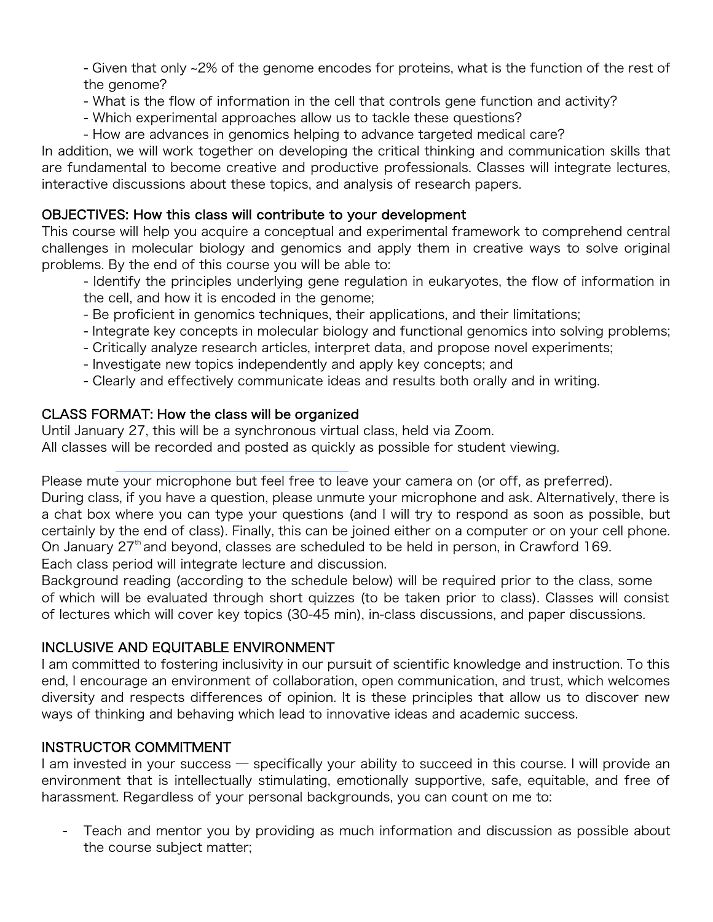- Given that only ~2% of the genome encodes for proteins, what is the function of the rest of the genome?

- What is the flow of information in the cell that controls gene function and activity?
- Which experimental approaches allow us to tackle these questions?
- How are advances in genomics helping to advance targeted medical care?

In addition, we will work together on developing the critical thinking and communication skills that are fundamental to become creative and productive professionals. Classes will integrate lectures, interactive discussions about these topics, and analysis of research papers.

### OBJECTIVES: How this class will contribute to your development

This course will help you acquire a conceptual and experimental framework to comprehend central challenges in molecular biology and genomics and apply them in creative ways to solve original problems. By the end of this course you will be able to:

- Identify the principles underlying gene regulation in eukaryotes, the flow of information in the cell, and how it is encoded in the genome;

- Be proficient in genomics techniques, their applications, and their limitations;
- Integrate key concepts in molecular biology and functional genomics into solving problems;
- Critically analyze research articles, interpret data, and propose novel experiments;
- Investigate new topics independently and apply key concepts; and
- Clearly and effectively communicate ideas and results both orally and in writing.

## CLASS FORMAT: How the class will be organized

Until January 27, this will be a synchronous virtual class, held via Zoom. All classes will be recorded and posted as quickly as possible for student viewing.

Please mute your microphone but feel free to leave your camera on (or off, as preferred).

During class, if you have a question, please unmute your microphone and ask. Alternatively, there is a chat box where you can type your questions (and I will try to respond as soon as possible, but certainly by the end of class). Finally, this can be joined either on a computer or on your cell phone. On January 27<sup>th</sup> and beyond, classes are scheduled to be held in person, in Crawford 169. Each class period will integrate lecture and discussion.

Background reading (according to the schedule below) will be required prior to the class, some of which will be evaluated through short quizzes (to be taken prior to class). Classes will consist of lectures which will cover key topics (30-45 min), in-class discussions, and paper discussions.

## INCLUSIVE AND EQUITABLE ENVIRONMENT

I am committed to fostering inclusivity in our pursuit of scientific knowledge and instruction. To this end, I encourage an environment of collaboration, open communication, and trust, which welcomes diversity and respects differences of opinion. It is these principles that allow us to discover new ways of thinking and behaving which lead to innovative ideas and academic success.

## INSTRUCTOR COMMITMENT

I am invested in your success — specifically your ability to succeed in this course. I will provide an environment that is intellectually stimulating, emotionally supportive, safe, equitable, and free of harassment. Regardless of your personal backgrounds, you can count on me to:

- Teach and mentor you by providing as much information and discussion as possible about the course subject matter;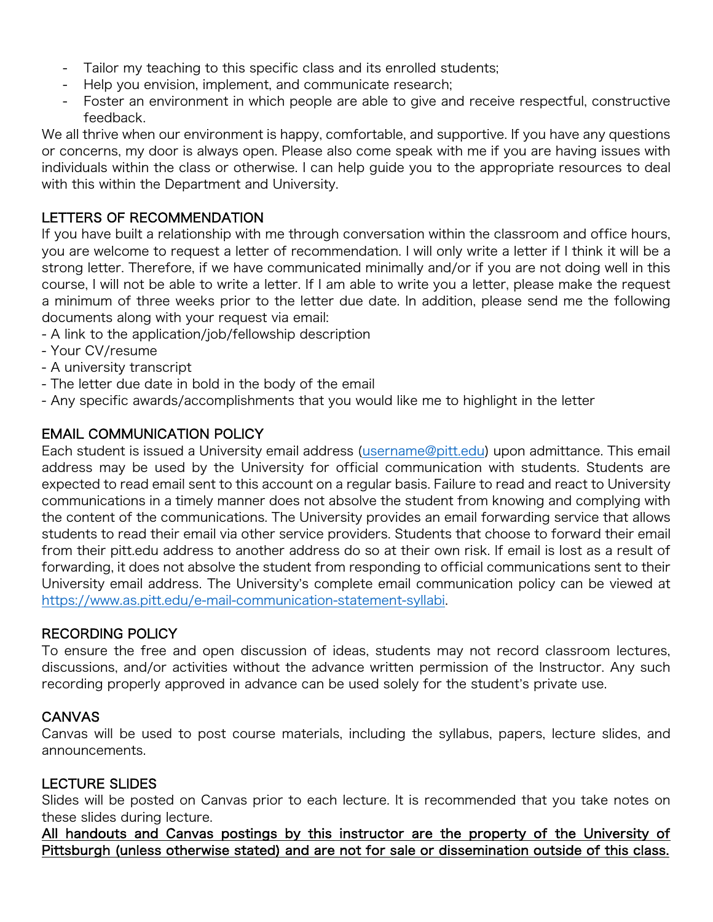- Tailor my teaching to this specific class and its enrolled students;
- Help you envision, implement, and communicate research;
- Foster an environment in which people are able to give and receive respectful, constructive feedback.

We all thrive when our environment is happy, comfortable, and supportive. If you have any questions or concerns, my door is always open. Please also come speak with me if you are having issues with individuals within the class or otherwise. I can help guide you to the appropriate resources to deal with this within the Department and University.

#### LETTERS OF RECOMMENDATION

If you have built a relationship with me through conversation within the classroom and office hours, you are welcome to request a letter of recommendation. I will only write a letter if I think it will be a strong letter. Therefore, if we have communicated minimally and/or if you are not doing well in this course, I will not be able to write a letter. If I am able to write you a letter, please make the request a minimum of three weeks prior to the letter due date. In addition, please send me the following documents along with your request via email:

- A link to the application/job/fellowship description
- Your CV/resume
- A university transcript
- The letter due date in bold in the body of the email
- Any specific awards/accomplishments that you would like me to highlight in the letter

#### EMAIL COMMUNICATION POLICY

Each student is issued a University email address (username@pitt.edu) upon admittance. This email address may be used by the University for official communication with students. Students are expected to read email sent to this account on a regular basis. Failure to read and react to University communications in a timely manner does not absolve the student from knowing and complying with the content of the communications. The University provides an email forwarding service that allows students to read their email via other service providers. Students that choose to forward their email from their pitt.edu address to another address do so at their own risk. If email is lost as a result of forwarding, it does not absolve the student from responding to official communications sent to their University email address. The University's complete email communication policy can be viewed at https://www.as.pitt.edu/e-mail-communication-statement-syllabi.

#### RECORDING POLICY

To ensure the free and open discussion of ideas, students may not record classroom lectures, discussions, and/or activities without the advance written permission of the Instructor. Any such recording properly approved in advance can be used solely for the student's private use.

#### CANVAS

Canvas will be used to post course materials, including the syllabus, papers, lecture slides, and announcements.

#### LECTURE SLIDES

Slides will be posted on Canvas prior to each lecture. It is recommended that you take notes on these slides during lecture.

All handouts and Canvas postings by this instructor are the property of the University of Pittsburgh (unless otherwise stated) and are not for sale or dissemination outside of this class.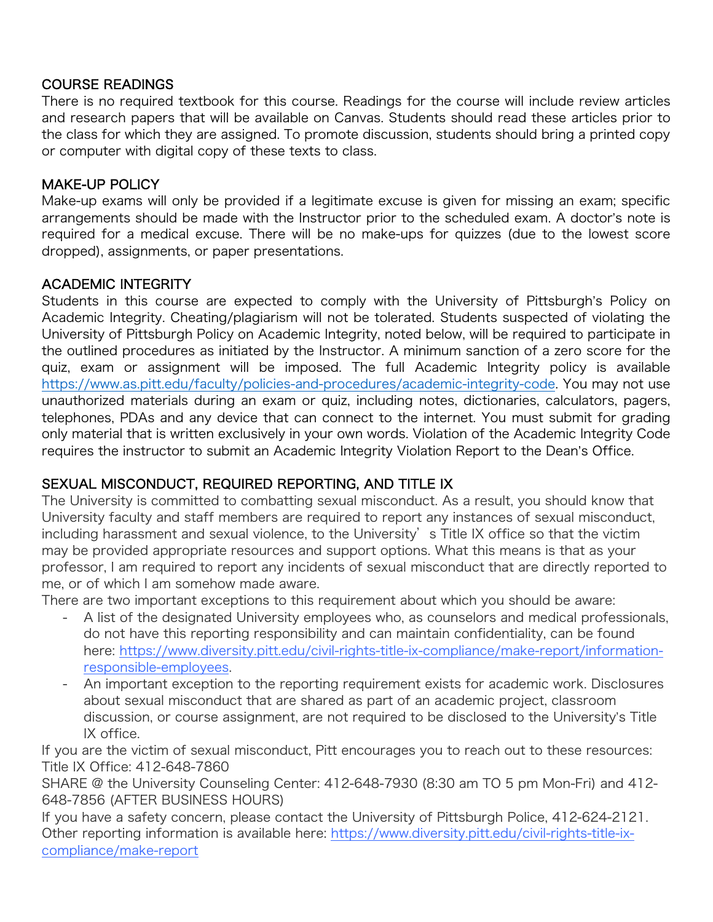### COURSE READINGS

There is no required textbook for this course. Readings for the course will include review articles and research papers that will be available on Canvas. Students should read these articles prior to the class for which they are assigned. To promote discussion, students should bring a printed copy or computer with digital copy of these texts to class.

### MAKE-UP POLICY

Make-up exams will only be provided if a legitimate excuse is given for missing an exam; specific arrangements should be made with the Instructor prior to the scheduled exam. A doctor's note is required for a medical excuse. There will be no make-ups for quizzes (due to the lowest score dropped), assignments, or paper presentations.

## ACADEMIC INTEGRITY

Students in this course are expected to comply with the University of Pittsburgh's Policy on Academic Integrity. Cheating/plagiarism will not be tolerated. Students suspected of violating the University of Pittsburgh Policy on Academic Integrity, noted below, will be required to participate in the outlined procedures as initiated by the Instructor. A minimum sanction of a zero score for the quiz, exam or assignment will be imposed. The full Academic Integrity policy is available https://www.as.pitt.edu/faculty/policies-and-procedures/academic-integrity-code. You may not use unauthorized materials during an exam or quiz, including notes, dictionaries, calculators, pagers, telephones, PDAs and any device that can connect to the internet. You must submit for grading only material that is written exclusively in your own words. Violation of the Academic Integrity Code requires the instructor to submit an Academic Integrity Violation Report to the Dean's Office.

## SEXUAL MISCONDUCT, REQUIRED REPORTING, AND TITLE IX

The University is committed to combatting sexual misconduct. As a result, you should know that University faculty and staff members are required to report any instances of sexual misconduct, including harassment and sexual violence, to the University's Title IX office so that the victim may be provided appropriate resources and support options. What this means is that as your professor, I am required to report any incidents of sexual misconduct that are directly reported to me, or of which I am somehow made aware.

There are two important exceptions to this requirement about which you should be aware:

- A list of the designated University employees who, as counselors and medical professionals, do not have this reporting responsibility and can maintain confidentiality, can be found here: https://www.diversity.pitt.edu/civil-rights-title-ix-compliance/make-report/informationresponsible-employees.
- An important exception to the reporting requirement exists for academic work. Disclosures about sexual misconduct that are shared as part of an academic project, classroom discussion, or course assignment, are not required to be disclosed to the University's Title IX office.

If you are the victim of sexual misconduct, Pitt encourages you to reach out to these resources: Title IX Office: 412-648-7860

SHARE @ the University Counseling Center: 412-648-7930 (8:30 am TO 5 pm Mon-Fri) and 412- 648-7856 (AFTER BUSINESS HOURS)

If you have a safety concern, please contact the University of Pittsburgh Police, 412-624-2121. Other reporting information is available here: https://www.diversity.pitt.edu/civil-rights-title-ixcompliance/make-report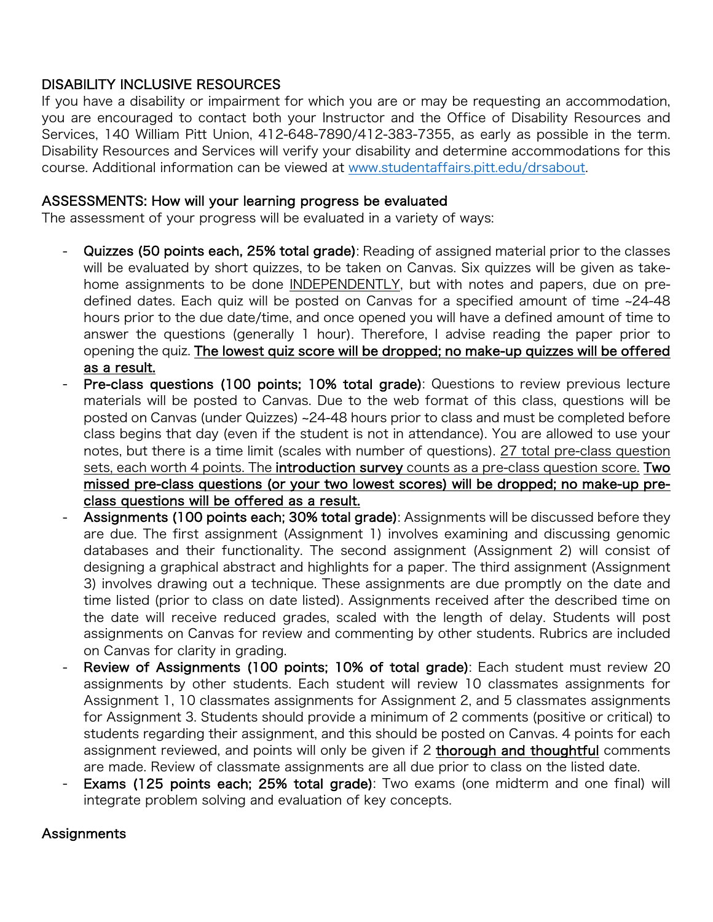### DISABILITY INCLUSIVE RESOURCES

If you have a disability or impairment for which you are or may be requesting an accommodation, you are encouraged to contact both your Instructor and the Office of Disability Resources and Services, 140 William Pitt Union, 412-648-7890/412-383-7355, as early as possible in the term. Disability Resources and Services will verify your disability and determine accommodations for this course. Additional information can be viewed at www.studentaffairs.pitt.edu/drsabout.

#### ASSESSMENTS: How will your learning progress be evaluated

The assessment of your progress will be evaluated in a variety of ways:

- Quizzes (50 points each, 25% total grade): Reading of assigned material prior to the classes will be evaluated by short quizzes, to be taken on Canvas. Six quizzes will be given as takehome assignments to be done INDEPENDENTLY, but with notes and papers, due on predefined dates. Each quiz will be posted on Canvas for a specified amount of time ~24-48 hours prior to the due date/time, and once opened you will have a defined amount of time to answer the questions (generally 1 hour). Therefore, I advise reading the paper prior to opening the quiz. The lowest quiz score will be dropped; no make-up quizzes will be offered as a result.
- Pre-class questions (100 points; 10% total grade): Questions to review previous lecture materials will be posted to Canvas. Due to the web format of this class, questions will be posted on Canvas (under Quizzes) ~24-48 hours prior to class and must be completed before class begins that day (even if the student is not in attendance). You are allowed to use your notes, but there is a time limit (scales with number of questions). 27 total pre-class question sets, each worth 4 points. The introduction survey counts as a pre-class question score. Two missed pre-class questions (or your two lowest scores) will be dropped; no make-up preclass questions will be offered as a result.
- Assignments (100 points each; 30% total grade): Assignments will be discussed before they are due. The first assignment (Assignment 1) involves examining and discussing genomic databases and their functionality. The second assignment (Assignment 2) will consist of designing a graphical abstract and highlights for a paper. The third assignment (Assignment 3) involves drawing out a technique. These assignments are due promptly on the date and time listed (prior to class on date listed). Assignments received after the described time on the date will receive reduced grades, scaled with the length of delay. Students will post assignments on Canvas for review and commenting by other students. Rubrics are included on Canvas for clarity in grading.
- Review of Assignments (100 points; 10% of total grade): Each student must review 20 assignments by other students. Each student will review 10 classmates assignments for Assignment 1, 10 classmates assignments for Assignment 2, and 5 classmates assignments for Assignment 3. Students should provide a minimum of 2 comments (positive or critical) to students regarding their assignment, and this should be posted on Canvas. 4 points for each assignment reviewed, and points will only be given if 2 thorough and thoughtful comments are made. Review of classmate assignments are all due prior to class on the listed date.
- Exams (125 points each; 25% total grade): Two exams (one midterm and one final) will integrate problem solving and evaluation of key concepts.

#### **Assignments**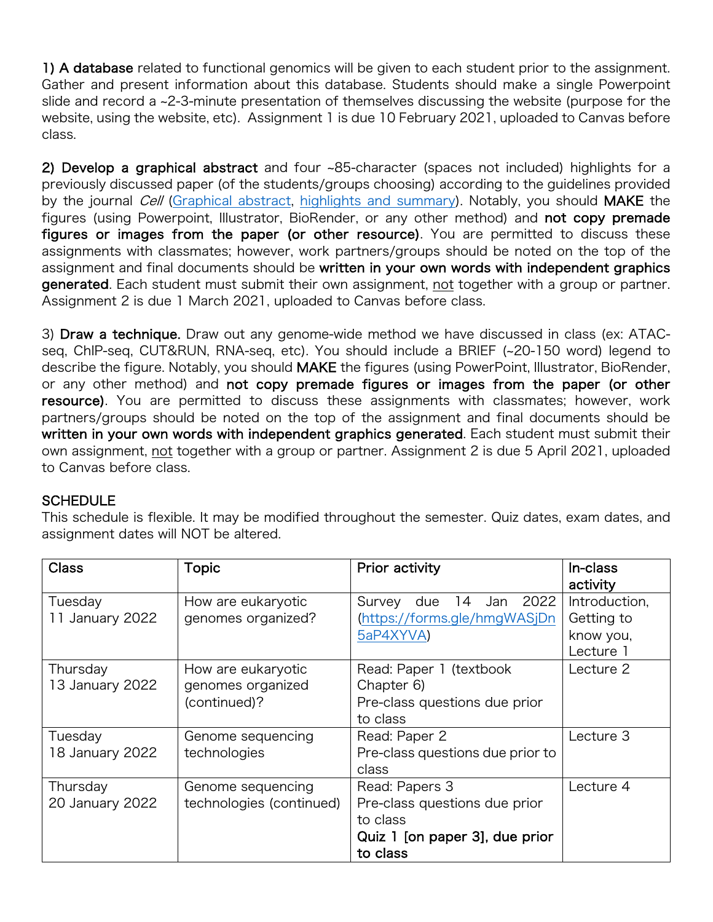1) A database related to functional genomics will be given to each student prior to the assignment. Gather and present information about this database. Students should make a single Powerpoint slide and record a ~2-3-minute presentation of themselves discussing the website (purpose for the website, using the website, etc). Assignment 1 is due 10 February 2021, uploaded to Canvas before class.

2) Develop a graphical abstract and four ~85-character (spaces not included) highlights for a previously discussed paper (of the students/groups choosing) according to the guidelines provided by the journal *Cell* (Graphical abstract, highlights and summary). Notably, you should MAKE the figures (using Powerpoint, Illustrator, BioRender, or any other method) and not copy premade figures or images from the paper (or other resource). You are permitted to discuss these assignments with classmates; however, work partners/groups should be noted on the top of the assignment and final documents should be written in your own words with independent graphics generated. Each student must submit their own assignment, not together with a group or partner. Assignment 2 is due 1 March 2021, uploaded to Canvas before class.

3) Draw a technique. Draw out any genome-wide method we have discussed in class (ex: ATACseq, ChIP-seq, CUT&RUN, RNA-seq, etc). You should include a BRIEF (~20-150 word) legend to describe the figure. Notably, you should MAKE the figures (using PowerPoint, Illustrator, BioRender, or any other method) and not copy premade figures or images from the paper (or other resource). You are permitted to discuss these assignments with classmates; however, work partners/groups should be noted on the top of the assignment and final documents should be written in your own words with independent graphics generated. Each student must submit their own assignment, not together with a group or partner. Assignment 2 is due 5 April 2021, uploaded to Canvas before class.

## **SCHEDULE**

This schedule is flexible. It may be modified throughout the semester. Quiz dates, exam dates, and assignment dates will NOT be altered.

| <b>Class</b>    | Topic                    | Prior activity                     | In-class      |
|-----------------|--------------------------|------------------------------------|---------------|
|                 |                          |                                    | activity      |
| Tuesday         | How are eukaryotic       | 2022<br>14<br>Survey<br>due<br>Jan | Introduction, |
| 11 January 2022 | genomes organized?       | (https://forms.gle/hmgWASjDn       | Getting to    |
|                 |                          | 5aP4XYVA)                          | know you,     |
|                 |                          |                                    | Lecture 1     |
| Thursday        | How are eukaryotic       | Read: Paper 1 (textbook            | Lecture 2     |
| 13 January 2022 | genomes organized        | Chapter 6)                         |               |
|                 | (continued)?             | Pre-class questions due prior      |               |
|                 |                          | to class                           |               |
| Tuesday         | Genome sequencing        | Read: Paper 2                      | Lecture 3     |
| 18 January 2022 | technologies             | Pre-class questions due prior to   |               |
|                 |                          | class                              |               |
| Thursday        | Genome sequencing        | Read: Papers 3                     | Lecture 4     |
| 20 January 2022 | technologies (continued) | Pre-class questions due prior      |               |
|                 |                          | to class                           |               |
|                 |                          | Quiz 1 [on paper 3], due prior     |               |
|                 |                          | to class                           |               |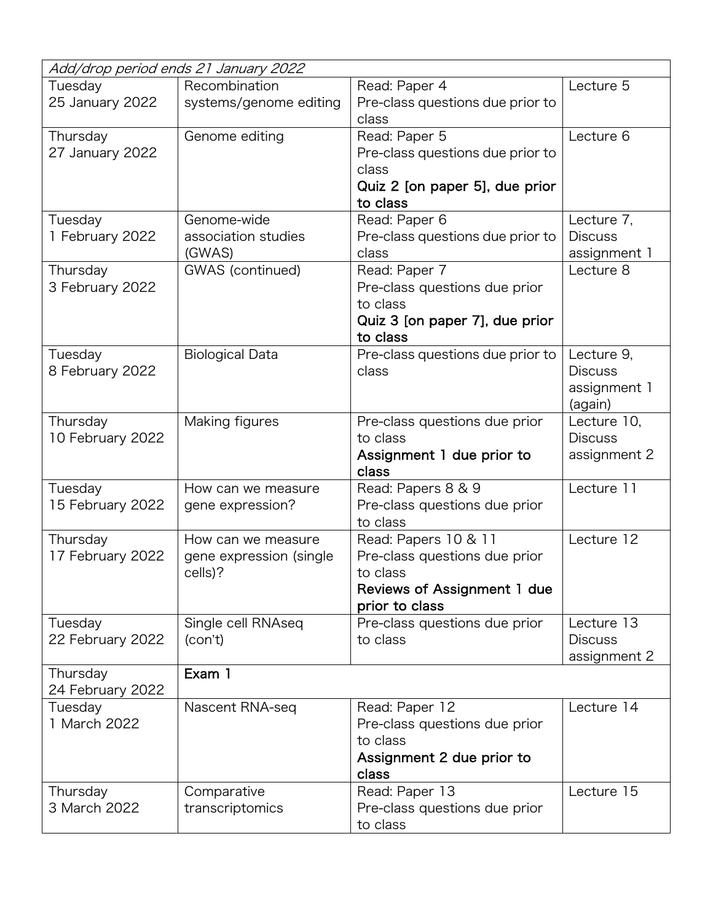| Add/drop period ends 21 January 2022 |                         |                                                 |                |  |  |  |
|--------------------------------------|-------------------------|-------------------------------------------------|----------------|--|--|--|
| Tuesday                              | Recombination           | Read: Paper 4                                   | Lecture 5      |  |  |  |
| 25 January 2022                      | systems/genome editing  | Pre-class questions due prior to<br>class       |                |  |  |  |
| Thursday                             | Genome editing          | Read: Paper 5                                   | Lecture 6      |  |  |  |
| 27 January 2022                      |                         | Pre-class questions due prior to                |                |  |  |  |
|                                      |                         | class                                           |                |  |  |  |
|                                      |                         | Quiz 2 [on paper 5], due prior                  |                |  |  |  |
|                                      |                         | to class                                        |                |  |  |  |
| Tuesday                              | Genome-wide             | Read: Paper 6                                   | Lecture 7,     |  |  |  |
| 1 February 2022                      | association studies     | Pre-class questions due prior to                | <b>Discuss</b> |  |  |  |
|                                      | (GWAS)                  | class                                           | assignment 1   |  |  |  |
| Thursday                             | GWAS (continued)        | Read: Paper 7                                   | Lecture 8      |  |  |  |
| 3 February 2022                      |                         | Pre-class questions due prior                   |                |  |  |  |
|                                      |                         | to class                                        |                |  |  |  |
|                                      |                         | Quiz 3 [on paper 7], due prior                  |                |  |  |  |
|                                      |                         | to class                                        |                |  |  |  |
| Tuesday                              | <b>Biological Data</b>  | Pre-class questions due prior to                | Lecture 9,     |  |  |  |
| 8 February 2022                      |                         | class                                           | <b>Discuss</b> |  |  |  |
|                                      |                         |                                                 | assignment 1   |  |  |  |
|                                      |                         |                                                 | (again)        |  |  |  |
| Thursday                             | Making figures          | Pre-class questions due prior                   | Lecture 10,    |  |  |  |
| 10 February 2022                     |                         | to class                                        | <b>Discuss</b> |  |  |  |
|                                      |                         | Assignment 1 due prior to<br>class              | assignment 2   |  |  |  |
| Tuesday                              | How can we measure      | Read: Papers 8 & 9                              | Lecture 11     |  |  |  |
| 15 February 2022                     | gene expression?        | Pre-class questions due prior                   |                |  |  |  |
|                                      |                         | to class                                        |                |  |  |  |
| Thursday                             | How can we measure      | Read: Papers 10 & 11                            | Lecture 12     |  |  |  |
| 17 February 2022                     | gene expression (single | Pre-class questions due prior                   |                |  |  |  |
|                                      | cells)?                 | to class                                        |                |  |  |  |
|                                      |                         | Reviews of Assignment 1 due                     |                |  |  |  |
| Tuesday                              | Single cell RNAseq      | prior to class<br>Pre-class questions due prior | Lecture 13     |  |  |  |
| 22 February 2022                     | (con't)                 | to class                                        | <b>Discuss</b> |  |  |  |
|                                      |                         |                                                 | assignment 2   |  |  |  |
| Thursday                             | Exam 1                  |                                                 |                |  |  |  |
| 24 February 2022                     |                         |                                                 |                |  |  |  |
| Tuesday                              | Nascent RNA-seq         | Read: Paper 12                                  | Lecture 14     |  |  |  |
| 1 March 2022                         |                         | Pre-class questions due prior                   |                |  |  |  |
|                                      |                         | to class                                        |                |  |  |  |
|                                      |                         | Assignment 2 due prior to                       |                |  |  |  |
|                                      |                         | class                                           |                |  |  |  |
| Thursday                             | Comparative             | Read: Paper 13                                  | Lecture 15     |  |  |  |
| 3 March 2022                         | transcriptomics         | Pre-class questions due prior                   |                |  |  |  |
|                                      |                         | to class                                        |                |  |  |  |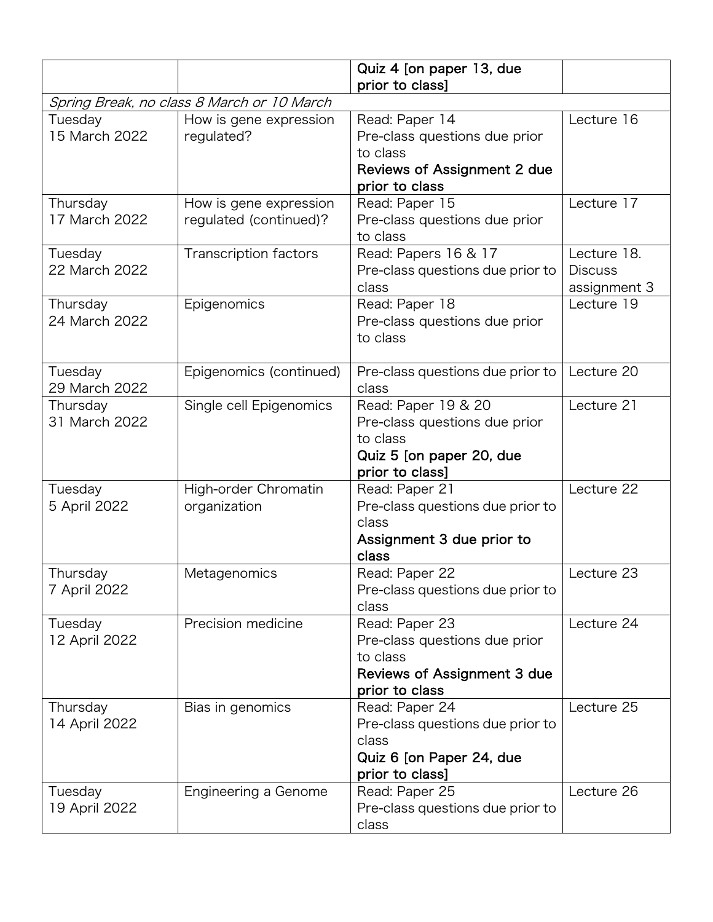|                                            |                                                  | Quiz 4 [on paper 13, due<br>prior to class]                                                                         |                                               |  |  |  |
|--------------------------------------------|--------------------------------------------------|---------------------------------------------------------------------------------------------------------------------|-----------------------------------------------|--|--|--|
| Spring Break, no class 8 March or 10 March |                                                  |                                                                                                                     |                                               |  |  |  |
| Tuesday<br>15 March 2022                   | How is gene expression<br>regulated?             | Read: Paper 14<br>Pre-class questions due prior<br>to class<br><b>Reviews of Assignment 2 due</b><br>prior to class | Lecture 16                                    |  |  |  |
| Thursday<br>17 March 2022                  | How is gene expression<br>regulated (continued)? | Read: Paper 15<br>Pre-class questions due prior<br>to class                                                         | Lecture 17                                    |  |  |  |
| Tuesday<br>22 March 2022                   | Transcription factors                            | Read: Papers 16 & 17<br>Pre-class questions due prior to<br>class                                                   | Lecture 18.<br><b>Discuss</b><br>assignment 3 |  |  |  |
| Thursday<br>24 March 2022                  | Epigenomics                                      | Read: Paper 18<br>Pre-class questions due prior<br>to class                                                         | Lecture 19                                    |  |  |  |
| Tuesday<br>29 March 2022                   | Epigenomics (continued)                          | Pre-class questions due prior to<br>class                                                                           | Lecture 20                                    |  |  |  |
| Thursday<br>31 March 2022                  | Single cell Epigenomics                          | Read: Paper 19 & 20<br>Pre-class questions due prior<br>to class<br>Quiz 5 [on paper 20, due<br>prior to class]     | Lecture 21                                    |  |  |  |
| Tuesday<br>5 April 2022                    | High-order Chromatin<br>organization             | Read: Paper 21<br>Pre-class questions due prior to<br>class<br>Assignment 3 due prior to<br>class                   | Lecture 22                                    |  |  |  |
| Thursday<br>7 April 2022                   | Metagenomics                                     | Read: Paper 22<br>Pre-class questions due prior to<br>class                                                         | Lecture 23                                    |  |  |  |
| Tuesday<br>12 April 2022                   | Precision medicine                               | Read: Paper 23<br>Pre-class questions due prior<br>to class<br>Reviews of Assignment 3 due<br>prior to class        | Lecture 24                                    |  |  |  |
| Thursday<br>14 April 2022                  | Bias in genomics                                 | Read: Paper 24<br>Pre-class questions due prior to<br>class<br>Quiz 6 [on Paper 24, due<br>prior to class]          | Lecture 25                                    |  |  |  |
| Tuesday<br>19 April 2022                   | Engineering a Genome                             | Read: Paper 25<br>Pre-class questions due prior to<br>class                                                         | Lecture 26                                    |  |  |  |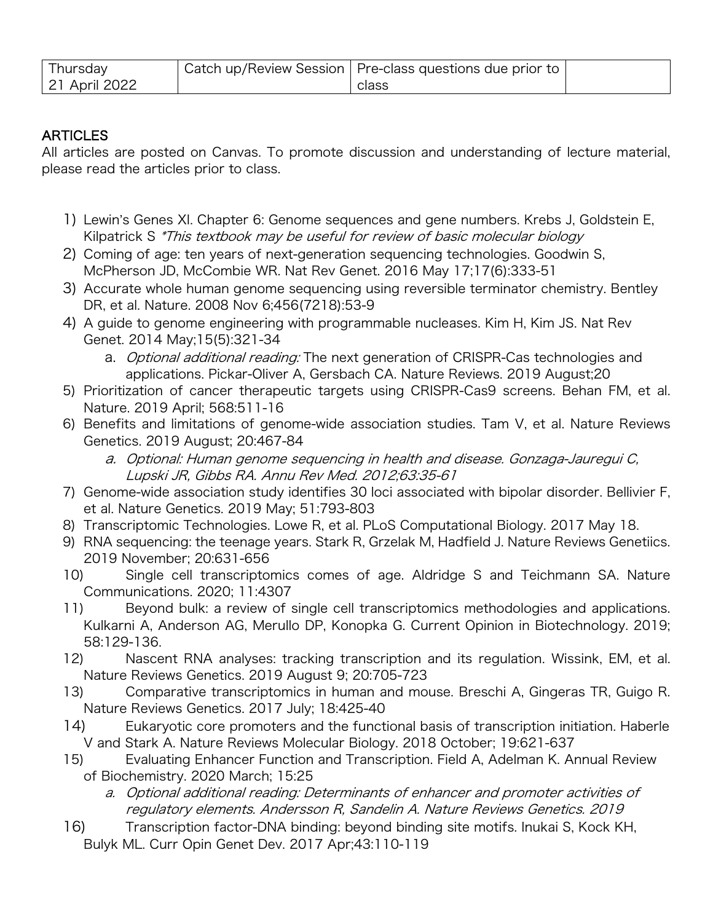| <b>I</b> hursday | Catch up/Review Session   Pre-class questions due prior to |  |
|------------------|------------------------------------------------------------|--|
| 21 April 2022    | class                                                      |  |

### **ARTICLES**

All articles are posted on Canvas. To promote discussion and understanding of lecture material, please read the articles prior to class.

- 1) Lewin's Genes XI. Chapter 6: Genome sequences and gene numbers. Krebs J, Goldstein E, Kilpatrick S \*This textbook may be useful for review of basic molecular biology
- 2) Coming of age: ten years of next-generation sequencing technologies. Goodwin S, McPherson JD, McCombie WR. Nat Rev Genet. 2016 May 17;17(6):333-51
- 3) Accurate whole human genome sequencing using reversible terminator chemistry. Bentley DR, et al. Nature. 2008 Nov 6;456(7218):53-9
- 4) A guide to genome engineering with programmable nucleases. Kim H, Kim JS. Nat Rev Genet. 2014 May;15(5):321-34
	- a. Optional additional reading: The next generation of CRISPR-Cas technologies and applications. Pickar-Oliver A, Gersbach CA. Nature Reviews. 2019 August;20
- 5) Prioritization of cancer therapeutic targets using CRISPR-Cas9 screens. Behan FM, et al. Nature. 2019 April; 568:511-16
- 6) Benefits and limitations of genome-wide association studies. Tam V, et al. Nature Reviews Genetics. 2019 August; 20:467-84
	- a. Optional: Human genome sequencing in health and disease. Gonzaga-Jauregui C, Lupski JR, Gibbs RA. Annu Rev Med. 2012;63:35-61
- 7) Genome-wide association study identifies 30 loci associated with bipolar disorder. Bellivier F, et al. Nature Genetics. 2019 May; 51:793-803
- 8) Transcriptomic Technologies. Lowe R, et al. PLoS Computational Biology. 2017 May 18.
- 9) RNA sequencing: the teenage years. Stark R, Grzelak M, Hadfield J. Nature Reviews Genetiics. 2019 November; 20:631-656
- 10) Single cell transcriptomics comes of age. Aldridge S and Teichmann SA. Nature Communications. 2020; 11:4307
- 11) Beyond bulk: a review of single cell transcriptomics methodologies and applications. Kulkarni A, Anderson AG, Merullo DP, Konopka G. Current Opinion in Biotechnology. 2019; 58:129-136.
- 12) Nascent RNA analyses: tracking transcription and its regulation. Wissink, EM, et al. Nature Reviews Genetics. 2019 August 9; 20:705-723
- 13) Comparative transcriptomics in human and mouse. Breschi A, Gingeras TR, Guigo R. Nature Reviews Genetics. 2017 July; 18:425-40
- 14) Eukaryotic core promoters and the functional basis of transcription initiation. Haberle V and Stark A. Nature Reviews Molecular Biology. 2018 October; 19:621-637
- 15) Evaluating Enhancer Function and Transcription. Field A, Adelman K. Annual Review of Biochemistry. 2020 March; 15:25
	- a. Optional additional reading: Determinants of enhancer and promoter activities of regulatory elements. Andersson R, Sandelin A. Nature Reviews Genetics. 2019
- 16) Transcription factor-DNA binding: beyond binding site motifs. Inukai S, Kock KH, Bulyk ML. Curr Opin Genet Dev. 2017 Apr;43:110-119